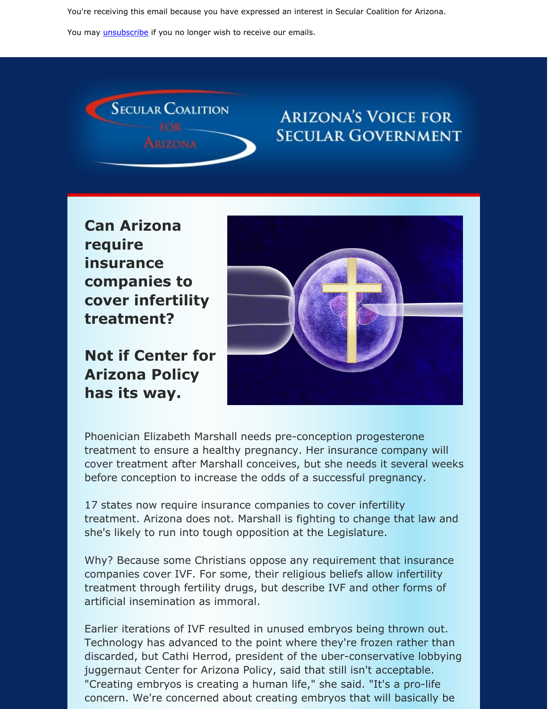You're receiving this email because you have expressed an interest in Secular Coalition for Arizona.

You may *[unsubscribe](https://visitor.constantcontact.com/do?p=un&m=001P9cdir9A6TjtWqZlUS4EUA%3D%3D&ch=&ca=57e993bb-7fa5-4039-a49c-ba42fff170e6)* if you no longer wish to receive our emails.



### **ARIZONA'S VOICE FOR SECULAR GOVERNMENT**

**Can Arizona require insurance companies to cover infertility treatment?**

**Not if Center for Arizona Policy has its way.**



Phoenician Elizabeth Marshall needs pre-conception progesterone treatment to ensure a healthy pregnancy. Her insurance company will cover treatment after Marshall conceives, but she needs it several weeks before conception to increase the odds of a successful pregnancy.

17 states now require insurance companies to cover infertility treatment. Arizona does not. Marshall is fighting to change that law and she's likely to run into tough opposition at the Legislature.

Why? Because some Christians oppose any requirement that insurance companies cover IVF. For some, their religious beliefs allow infertility treatment through fertility drugs, but describe IVF and other forms of artificial insemination as immoral.

Earlier iterations of IVF resulted in unused embryos being thrown out. Technology has advanced to the point where they're frozen rather than discarded, but Cathi Herrod, president of the uber-conservative lobbying juggernaut Center for Arizona Policy, said that still isn't acceptable. "Creating embryos is creating a human life," she said. "It's a pro-life concern. We're concerned about creating embryos that will basically be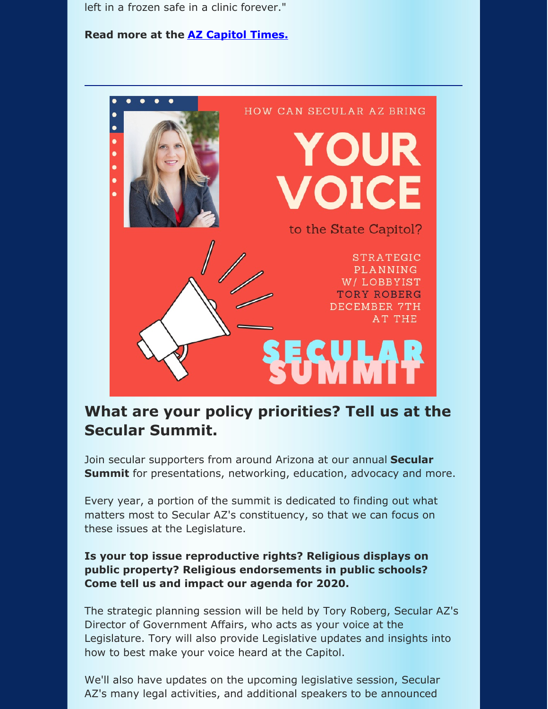left in a frozen safe in a clinic forever."

**Read more at the AZ [Capitol](https://azcapitoltimes.com/news/2019/10/18/phoenix-woman-seeks-mandated-coverage-of-fertility-treatment/?fbclid=IwAR2KJF2ea6ttbatHuy1S_EL_6xj8a8zhAzIwJUmeRIZhmU5Fi-fGUOLruT4) Times.**



#### **What are your policy priorities? Tell us at the Secular Summit.**

Join secular supporters from around Arizona at our annual **Secular Summit** for presentations, networking, education, advocacy and more.

Every year, a portion of the summit is dedicated to finding out what matters most to Secular AZ's constituency, so that we can focus on these issues at the Legislature.

#### **Is your top issue reproductive rights? Religious displays on public property? Religious endorsements in public schools? Come tell us and impact our agenda for 2020.**

The strategic planning session will be held by Tory Roberg, Secular AZ's Director of Government Affairs, who acts as your voice at the Legislature. Tory will also provide Legislative updates and insights into how to best make your voice heard at the Capitol.

We'll also have updates on the upcoming legislative session, Secular AZ's many legal activities, and additional speakers to be announced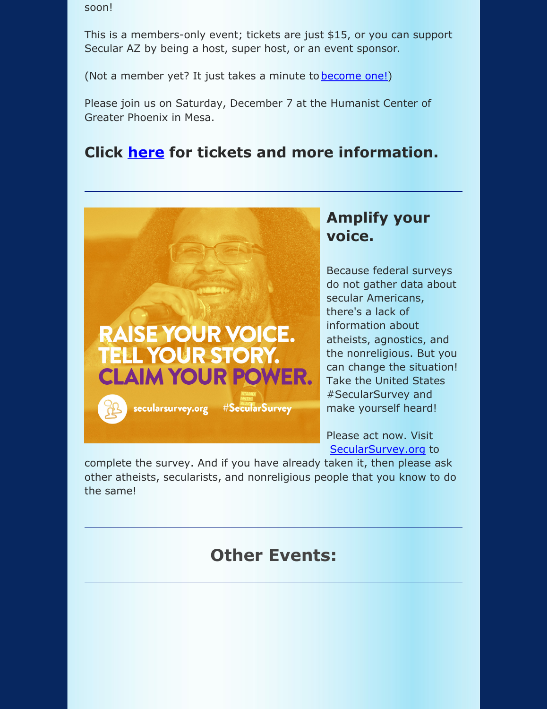soon!

This is a members-only event; tickets are just \$15, or you can support Secular AZ by being a host, super host, or an event sponsor.

(Not a member yet? It just takes a minute to **[become](https://secularaz.org/product-category/donate-membership/) one!)** 

Please join us on Saturday, December 7 at the Humanist Center of Greater Phoenix in Mesa.

#### **Click [here](https://secularaz.org/product/secular-summit-2019/) for tickets and more information.**

# **RAISE YOUR VOICE. TELL YOUR STORY. CLAIM YOUR POWER.** secularsurvey.org **#SecularSurvey**

#### **Amplify your voice.**

Because federal surveys do not gather data about secular Americans, there's a lack of information about atheists, agnostics, and the nonreligious. But you can change the situation! Take the United States #SecularSurvey and make yourself heard!

Please act now. Visit [SecularSurvey.org](http://secularsurvey.org) to

complete the survey. And if you have already taken it, then please ask other atheists, secularists, and nonreligious people that you know to do the same!

## **Other Events:**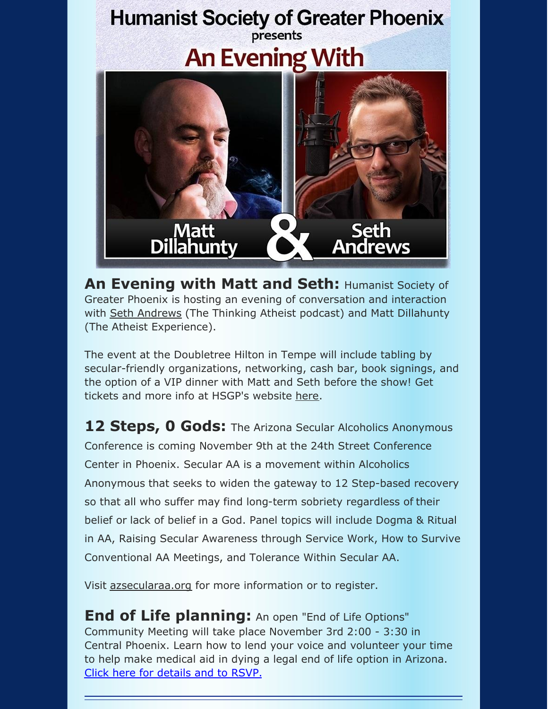

**An Evening with Matt and Seth:** Humanist Society of Greater Phoenix is hosting an evening of conversation and interaction with Seth [Andrews](https://www.sethandrews.net/) (The Thinking Atheist podcast) and Matt Dillahunty (The Atheist Experience).

The event at the Doubletree Hilton in Tempe will include tabling by secular-friendly organizations, networking, cash bar, book signings, and the option of a VIP dinner with Matt and Seth before the show! Get tickets and more info at HSGP's website [here](https://hsgp.org/blog/1667/an-evening-with-matt-dillahunty-and-seth-andrews).

**12 Steps, 0 Gods:** The Arizona Secular Alcoholics Anonymous Conference is coming November 9th at the 24th Street Conference Center in Phoenix. Secular AA is a movement within Alcoholics Anonymous that seeks to widen the gateway to 12 Step-based recovery so that all who suffer may find long-term sobriety regardless of their belief or lack of belief in a God. Panel topics will include Dogma & Ritual in AA, Raising Secular Awareness through Service Work, How to Survive Conventional AA Meetings, and Tolerance Within Secular AA.

Visit [azsecularaa.org](https://www.azsecularaa.org/) for more information or to register.

**End of Life planning:** An open "End of Life Options" Community Meeting will take place November 3rd 2:00 - 3:30 in Central Phoenix. Learn how to lend your voice and volunteer your time to help make medical aid in dying a legal end of life option in Arizona. Click here for [details](https://www.surveymonkey.com/r/JLKLNPD) and to RSVP.